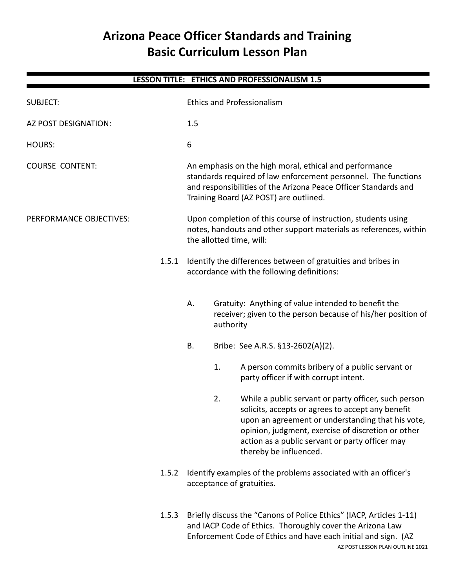# **Arizona Peace Officer Standards and Training Basic Curriculum Lesson Plan**

|                         |       |                                                                                                                                                                                                                                                                              |                                                                                             | LESSON TITLE: ETHICS AND PROFESSIONALISM 1.5                                                                                                                                                                                                                                                      |  |
|-------------------------|-------|------------------------------------------------------------------------------------------------------------------------------------------------------------------------------------------------------------------------------------------------------------------------------|---------------------------------------------------------------------------------------------|---------------------------------------------------------------------------------------------------------------------------------------------------------------------------------------------------------------------------------------------------------------------------------------------------|--|
| <b>SUBJECT:</b>         |       |                                                                                                                                                                                                                                                                              |                                                                                             | <b>Ethics and Professionalism</b>                                                                                                                                                                                                                                                                 |  |
| AZ POST DESIGNATION:    |       | 1.5                                                                                                                                                                                                                                                                          |                                                                                             |                                                                                                                                                                                                                                                                                                   |  |
| <b>HOURS:</b>           |       | 6                                                                                                                                                                                                                                                                            |                                                                                             |                                                                                                                                                                                                                                                                                                   |  |
| <b>COURSE CONTENT:</b>  |       | An emphasis on the high moral, ethical and performance<br>standards required of law enforcement personnel. The functions<br>and responsibilities of the Arizona Peace Officer Standards and<br>Training Board (AZ POST) are outlined.                                        |                                                                                             |                                                                                                                                                                                                                                                                                                   |  |
| PERFORMANCE OBJECTIVES: |       | Upon completion of this course of instruction, students using<br>notes, handouts and other support materials as references, within<br>the allotted time, will:<br>Identify the differences between of gratuities and bribes in<br>accordance with the following definitions: |                                                                                             |                                                                                                                                                                                                                                                                                                   |  |
|                         | 1.5.1 |                                                                                                                                                                                                                                                                              |                                                                                             |                                                                                                                                                                                                                                                                                                   |  |
|                         |       | А.                                                                                                                                                                                                                                                                           | authority                                                                                   | Gratuity: Anything of value intended to benefit the<br>receiver; given to the person because of his/her position of                                                                                                                                                                               |  |
|                         |       | <b>B.</b>                                                                                                                                                                                                                                                                    |                                                                                             | Bribe: See A.R.S. §13-2602(A)(2).                                                                                                                                                                                                                                                                 |  |
|                         |       |                                                                                                                                                                                                                                                                              | 1.                                                                                          | A person commits bribery of a public servant or<br>party officer if with corrupt intent.                                                                                                                                                                                                          |  |
|                         |       |                                                                                                                                                                                                                                                                              | 2.                                                                                          | While a public servant or party officer, such person<br>solicits, accepts or agrees to accept any benefit<br>upon an agreement or understanding that his vote,<br>opinion, judgment, exercise of discretion or other<br>action as a public servant or party officer may<br>thereby be influenced. |  |
|                         | 1.5.2 |                                                                                                                                                                                                                                                                              | Identify examples of the problems associated with an officer's<br>acceptance of gratuities. |                                                                                                                                                                                                                                                                                                   |  |
| 1.5.3                   |       | Briefly discuss the "Canons of Police Ethics" (IACP, Articles 1-11)<br>and IACP Code of Ethics. Thoroughly cover the Arizona Law<br>Enforcement Code of Ethics and have each initial and sign. (AZ                                                                           |                                                                                             |                                                                                                                                                                                                                                                                                                   |  |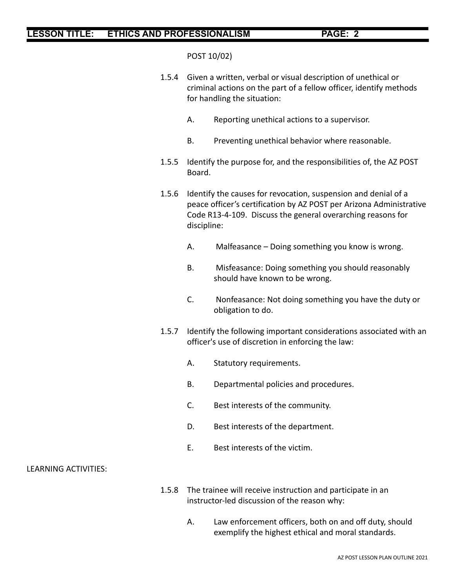POST 10/02)

- 1.5.4 Given a written, verbal or visual description of unethical or criminal actions on the part of a fellow officer, identify methods for handling the situation:
	- A. Reporting unethical actions to a supervisor.
	- B. Preventing unethical behavior where reasonable.
- 1.5.5 Identify the purpose for, and the responsibilities of, the AZ POST Board.
- 1.5.6 Identify the causes for revocation, suspension and denial of a peace officer's certification by AZ POST per Arizona Administrative Code R13-4-109. Discuss the general overarching reasons for discipline:
	- A. Malfeasance Doing something you know is wrong.
	- B. Misfeasance: Doing something you should reasonably should have known to be wrong.
	- C. Nonfeasance: Not doing something you have the duty or obligation to do.
- 1.5.7 Identify the following important considerations associated with an officer's use of discretion in enforcing the law:
	- A. Statutory requirements.
	- B. Departmental policies and procedures.
	- C. Best interests of the community.
	- D. Best interests of the department.
	- E. Best interests of the victim.

#### LEARNING ACTIVITIES:

- 1.5.8 The trainee will receive instruction and participate in an instructor-led discussion of the reason why:
	- A. Law enforcement officers, both on and off duty, should exemplify the highest ethical and moral standards.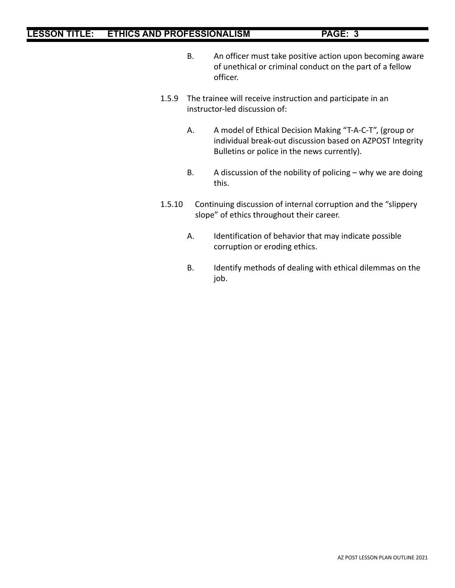- B. An officer must take positive action upon becoming aware of unethical or criminal conduct on the part of a fellow officer.
- 1.5.9 The trainee will receive instruction and participate in an instructor-led discussion of:
	- A. A model of Ethical Decision Making "T-A-C-T", (group or individual break-out discussion based on AZPOST Integrity Bulletins or police in the news currently).
	- B. A discussion of the nobility of policing why we are doing this.
- 1.5.10 Continuing discussion of internal corruption and the "slippery slope" of ethics throughout their career.
	- A. Identification of behavior that may indicate possible corruption or eroding ethics.
	- B. Identify methods of dealing with ethical dilemmas on the job.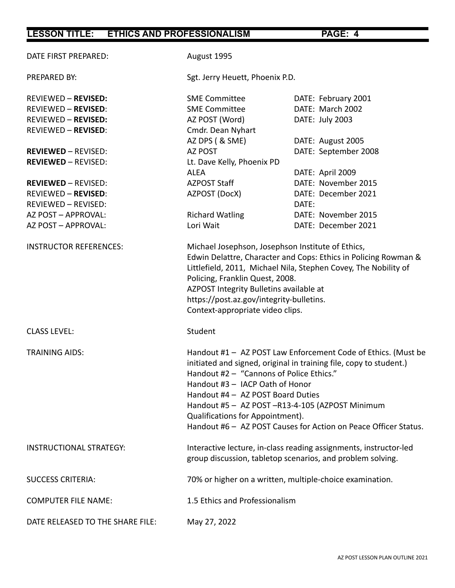| DATE FIRST PREPARED:             | August 1995                                                                                                                                                                                                                                                                                                                                                                                                      |                      |  |  |  |
|----------------------------------|------------------------------------------------------------------------------------------------------------------------------------------------------------------------------------------------------------------------------------------------------------------------------------------------------------------------------------------------------------------------------------------------------------------|----------------------|--|--|--|
| PREPARED BY:                     | Sgt. Jerry Heuett, Phoenix P.D.                                                                                                                                                                                                                                                                                                                                                                                  |                      |  |  |  |
| <b>REVIEWED - REVISED:</b>       | <b>SME Committee</b>                                                                                                                                                                                                                                                                                                                                                                                             | DATE: February 2001  |  |  |  |
| <b>REVIEWED - REVISED:</b>       | <b>SME Committee</b>                                                                                                                                                                                                                                                                                                                                                                                             | DATE: March 2002     |  |  |  |
| <b>REVIEWED - REVISED:</b>       | AZ POST (Word)                                                                                                                                                                                                                                                                                                                                                                                                   | DATE: July 2003      |  |  |  |
| <b>REVIEWED - REVISED:</b>       | Cmdr. Dean Nyhart                                                                                                                                                                                                                                                                                                                                                                                                |                      |  |  |  |
|                                  | AZ DPS (& SME)                                                                                                                                                                                                                                                                                                                                                                                                   | DATE: August 2005    |  |  |  |
| <b>REVIEWED - REVISED:</b>       | <b>AZ POST</b>                                                                                                                                                                                                                                                                                                                                                                                                   | DATE: September 2008 |  |  |  |
| <b>REVIEWED - REVISED:</b>       | Lt. Dave Kelly, Phoenix PD                                                                                                                                                                                                                                                                                                                                                                                       |                      |  |  |  |
|                                  | <b>ALEA</b>                                                                                                                                                                                                                                                                                                                                                                                                      | DATE: April 2009     |  |  |  |
| <b>REVIEWED - REVISED:</b>       | AZPOST Staff                                                                                                                                                                                                                                                                                                                                                                                                     | DATE: November 2015  |  |  |  |
| <b>REVIEWED - REVISED:</b>       | AZPOST (DocX)                                                                                                                                                                                                                                                                                                                                                                                                    | DATE: December 2021  |  |  |  |
| REVIEWED - REVISED:              |                                                                                                                                                                                                                                                                                                                                                                                                                  | DATE:                |  |  |  |
| AZ POST - APPROVAL:              | <b>Richard Watling</b>                                                                                                                                                                                                                                                                                                                                                                                           | DATE: November 2015  |  |  |  |
| AZ POST - APPROVAL:              | Lori Wait                                                                                                                                                                                                                                                                                                                                                                                                        | DATE: December 2021  |  |  |  |
| <b>INSTRUCTOR REFERENCES:</b>    | Michael Josephson, Josephson Institute of Ethics,<br>Edwin Delattre, Character and Cops: Ethics in Policing Rowman &<br>Littlefield, 2011, Michael Nila, Stephen Covey, The Nobility of<br>Policing, Franklin Quest, 2008.<br>AZPOST Integrity Bulletins available at<br>https://post.az.gov/integrity-bulletins.<br>Context-appropriate video clips.                                                            |                      |  |  |  |
| <b>CLASS LEVEL:</b>              | Student                                                                                                                                                                                                                                                                                                                                                                                                          |                      |  |  |  |
| <b>TRAINING AIDS:</b>            | Handout #1 - AZ POST Law Enforcement Code of Ethics. (Must be<br>initiated and signed, original in training file, copy to student.)<br>Handout #2 - "Cannons of Police Ethics."<br>Handout #3 - IACP Oath of Honor<br>Handout #4 - AZ POST Board Duties<br>Handout #5 - AZ POST-R13-4-105 (AZPOST Minimum<br>Qualifications for Appointment).<br>Handout #6 - AZ POST Causes for Action on Peace Officer Status. |                      |  |  |  |
| <b>INSTRUCTIONAL STRATEGY:</b>   | Interactive lecture, in-class reading assignments, instructor-led<br>group discussion, tabletop scenarios, and problem solving.                                                                                                                                                                                                                                                                                  |                      |  |  |  |
| <b>SUCCESS CRITERIA:</b>         | 70% or higher on a written, multiple-choice examination.                                                                                                                                                                                                                                                                                                                                                         |                      |  |  |  |
| <b>COMPUTER FILE NAME:</b>       | 1.5 Ethics and Professionalism                                                                                                                                                                                                                                                                                                                                                                                   |                      |  |  |  |
| DATE RELEASED TO THE SHARE FILE: | May 27, 2022                                                                                                                                                                                                                                                                                                                                                                                                     |                      |  |  |  |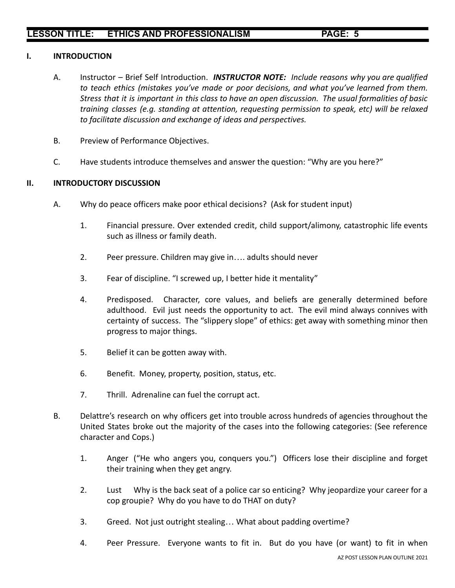### **I. INTRODUCTION**

- A. Instructor Brief Self Introduction. *INSTRUCTOR NOTE: Include reasons why you are qualified to teach ethics (mistakes you've made or poor decisions, and what you've learned from them.* Stress that it is important in this class to have an open discussion. The usual formalities of basic *training classes (e.g. standing at attention, requesting permission to speak, etc) will be relaxed to facilitate discussion and exchange of ideas and perspectives.*
- B. Preview of Performance Objectives.
- C. Have students introduce themselves and answer the question: "Why are you here?"

### **II. INTRODUCTORY DISCUSSION**

- A. Why do peace officers make poor ethical decisions? (Ask for student input)
	- 1. Financial pressure. Over extended credit, child support/alimony, catastrophic life events such as illness or family death.
	- 2. Peer pressure. Children may give in…. adults should never
	- 3. Fear of discipline. "I screwed up, I better hide it mentality"
	- 4. Predisposed. Character, core values, and beliefs are generally determined before adulthood. Evil just needs the opportunity to act. The evil mind always connives with certainty of success. The "slippery slope" of ethics: get away with something minor then progress to major things.
	- 5. Belief it can be gotten away with.
	- 6. Benefit. Money, property, position, status, etc.
	- 7. Thrill. Adrenaline can fuel the corrupt act.
- B. Delattre's research on why officers get into trouble across hundreds of agencies throughout the United States broke out the majority of the cases into the following categories: (See reference character and Cops.)
	- 1. Anger ("He who angers you, conquers you.") Officers lose their discipline and forget their training when they get angry.
	- 2. Lust Why is the back seat of a police car so enticing? Why jeopardize your career for a cop groupie? Why do you have to do THAT on duty?
	- 3. Greed. Not just outright stealing… What about padding overtime?
	- 4. Peer Pressure. Everyone wants to fit in. But do you have (or want) to fit in when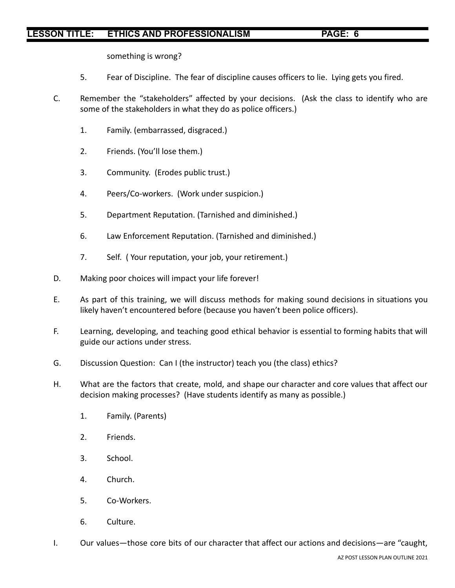something is wrong?

- 5. Fear of Discipline. The fear of discipline causes officers to lie. Lying gets you fired.
- C. Remember the "stakeholders" affected by your decisions. (Ask the class to identify who are some of the stakeholders in what they do as police officers.)
	- 1. Family. (embarrassed, disgraced.)
	- 2. Friends. (You'll lose them.)
	- 3. Community. (Erodes public trust.)
	- 4. Peers/Co-workers. (Work under suspicion.)
	- 5. Department Reputation. (Tarnished and diminished.)
	- 6. Law Enforcement Reputation. (Tarnished and diminished.)
	- 7. Self. ( Your reputation, your job, your retirement.)
- D. Making poor choices will impact your life forever!
- E. As part of this training, we will discuss methods for making sound decisions in situations you likely haven't encountered before (because you haven't been police officers).
- F. Learning, developing, and teaching good ethical behavior is essential to forming habits that will guide our actions under stress.
- G. Discussion Question: Can I (the instructor) teach you (the class) ethics?
- H. What are the factors that create, mold, and shape our character and core values that affect our decision making processes? (Have students identify as many as possible.)
	- 1. Family. (Parents)
	- 2. Friends.
	- 3. School.
	- 4. Church.
	- 5. Co-Workers.
	- 6. Culture.
- I. Our values—those core bits of our character that affect our actions and decisions—are "caught,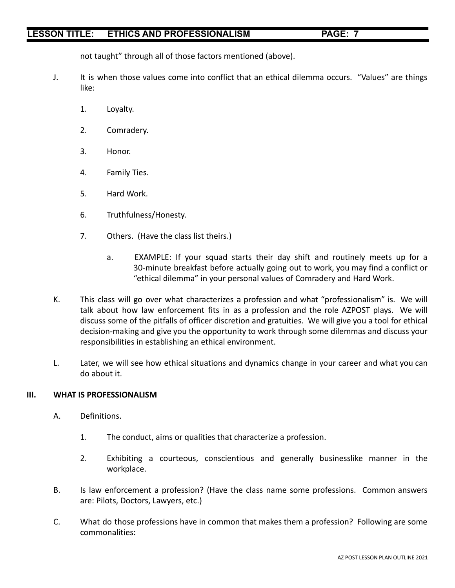not taught" through all of those factors mentioned (above).

- J. It is when those values come into conflict that an ethical dilemma occurs. "Values" are things like:
	- 1. Loyalty.
	- 2. Comradery.
	- 3. Honor.
	- 4. Family Ties.
	- 5. Hard Work.
	- 6. Truthfulness/Honesty.
	- 7. Others. (Have the class list theirs.)
		- a. EXAMPLE: If your squad starts their day shift and routinely meets up for a 30-minute breakfast before actually going out to work, you may find a conflict or "ethical dilemma" in your personal values of Comradery and Hard Work.
- K. This class will go over what characterizes a profession and what "professionalism" is. We will talk about how law enforcement fits in as a profession and the role AZPOST plays. We will discuss some of the pitfalls of officer discretion and gratuities. We will give you a tool for ethical decision-making and give you the opportunity to work through some dilemmas and discuss your responsibilities in establishing an ethical environment.
- L. Later, we will see how ethical situations and dynamics change in your career and what you can do about it.

## **III. WHAT IS PROFESSIONALISM**

- A. Definitions.
	- 1. The conduct, aims or qualities that characterize a profession.
	- 2. Exhibiting a courteous, conscientious and generally businesslike manner in the workplace.
- B. Is law enforcement a profession? (Have the class name some professions. Common answers are: Pilots, Doctors, Lawyers, etc.)
- C. What do those professions have in common that makes them a profession? Following are some commonalities: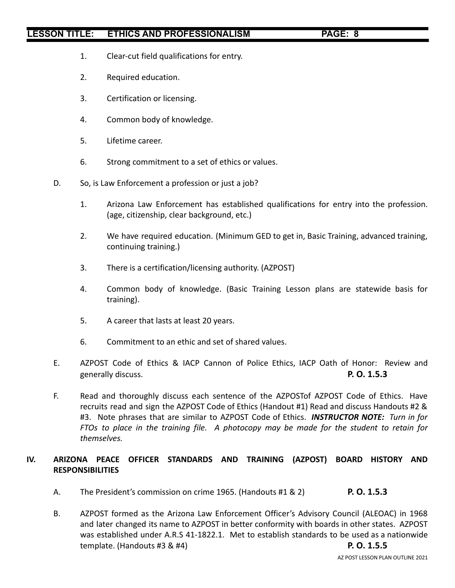- 1. Clear-cut field qualifications for entry.
- 2. Required education.
- 3. Certification or licensing.
- 4. Common body of knowledge.
- 5. Lifetime career.
- 6. Strong commitment to a set of ethics or values.
- D. So, is Law Enforcement a profession or just a job?
	- 1. Arizona Law Enforcement has established qualifications for entry into the profession. (age, citizenship, clear background, etc.)
	- 2. We have required education. (Minimum GED to get in, Basic Training, advanced training, continuing training.)
	- 3. There is a certification/licensing authority. (AZPOST)
	- 4. Common body of knowledge. (Basic Training Lesson plans are statewide basis for training).
	- 5. A career that lasts at least 20 years.
	- 6. Commitment to an ethic and set of shared values.
- E. AZPOST Code of Ethics & IACP Cannon of Police Ethics, IACP Oath of Honor: Review and generally discuss. **P. O. 1.5.3**
- F. Read and thoroughly discuss each sentence of the AZPOSTof AZPOST Code of Ethics. Have recruits read and sign the AZPOST Code of Ethics (Handout #1) Read and discuss Handouts #2 & #3. Note phrases that are similar to AZPOST Code of Ethics. *INSTRUCTOR NOTE: Turn in for FTOs to place in the training file. A photocopy may be made for the student to retain for themselves.*

## **IV. ARIZONA PEACE OFFICER STANDARDS AND TRAINING (AZPOST) BOARD HISTORY AND RESPONSIBILITIES**

- A. The President's commission on crime 1965. (Handouts #1 & 2) **P. O. 1.5.3**
- B. AZPOST formed as the Arizona Law Enforcement Officer's Advisory Council (ALEOAC) in 1968 and later changed its name to AZPOST in better conformity with boards in other states. AZPOST was established under A.R.S 41-1822.1. Met to establish standards to be used as a nationwide template. (Handouts #3 & #4) **P. O. 1.5.5**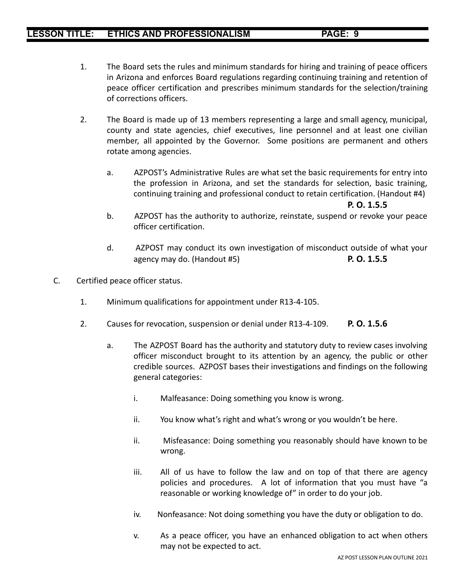- 1. The Board sets the rules and minimum standards for hiring and training of peace officers in Arizona and enforces Board regulations regarding continuing training and retention of peace officer certification and prescribes minimum standards for the selection/training of corrections officers.
- 2. The Board is made up of 13 members representing a large and small agency, municipal, county and state agencies, chief executives, line personnel and at least one civilian member, all appointed by the Governor. Some positions are permanent and others rotate among agencies.
	- a. AZPOST's Administrative Rules are what set the basic requirements for entry into the profession in Arizona, and set the standards for selection, basic training, continuing training and professional conduct to retain certification. (Handout #4)

**P. O. 1.5.5**

- b. AZPOST has the authority to authorize, reinstate, suspend or revoke your peace officer certification.
- d. AZPOST may conduct its own investigation of misconduct outside of what your agency may do. (Handout #5) **P. O. 1.5.5**
- C. Certified peace officer status.
	- 1. Minimum qualifications for appointment under R13-4-105.
	- 2. Causes for revocation, suspension or denial under R13-4-109. **P. O. 1.5.6**
		- a. The AZPOST Board has the authority and statutory duty to review cases involving officer misconduct brought to its attention by an agency, the public or other credible sources. AZPOST bases their investigations and findings on the following general categories:
			- i. Malfeasance: Doing something you know is wrong.
			- ii. You know what's right and what's wrong or you wouldn't be here.
			- ii. Misfeasance: Doing something you reasonably should have known to be wrong.
			- iii. All of us have to follow the law and on top of that there are agency policies and procedures. A lot of information that you must have "a reasonable or working knowledge of" in order to do your job.
			- iv. Nonfeasance: Not doing something you have the duty or obligation to do.
			- v. As a peace officer, you have an enhanced obligation to act when others may not be expected to act.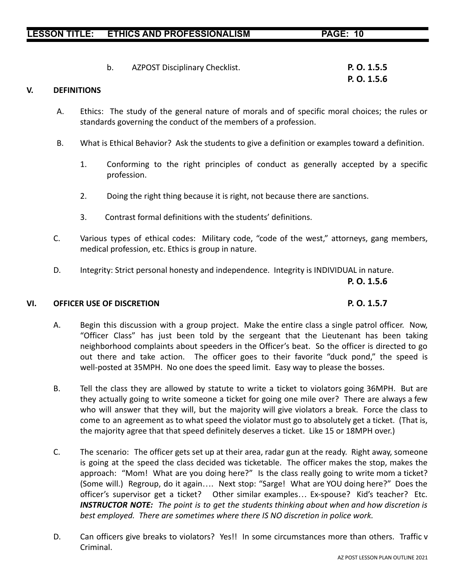b. AZPOST Disciplinary Checklist. **P. O. 1.5.5**

## **V. DEFINITIONS**

- A. Ethics: The study of the general nature of morals and of specific moral choices; the rules or standards governing the conduct of the members of a profession.
- B. What is Ethical Behavior? Ask the students to give a definition or examples toward a definition.
	- 1. Conforming to the right principles of conduct as generally accepted by a specific profession.
	- 2. Doing the right thing because it is right, not because there are sanctions.
	- 3. Contrast formal definitions with the students' definitions.
- C. Various types of ethical codes: Military code, "code of the west," attorneys, gang members, medical profession, etc. Ethics is group in nature.
- D. Integrity: Strict personal honesty and independence. Integrity is INDIVIDUAL in nature.

**P. O. 1.5.6**

#### **VI. OFFICER USE OF DISCRETION P. O. 1.5.7**

- A. Begin this discussion with a group project. Make the entire class a single patrol officer. Now, "Officer Class" has just been told by the sergeant that the Lieutenant has been taking neighborhood complaints about speeders in the Officer's beat. So the officer is directed to go out there and take action. The officer goes to their favorite "duck pond," the speed is well-posted at 35MPH. No one does the speed limit. Easy way to please the bosses.
- B. Tell the class they are allowed by statute to write a ticket to violators going 36MPH. But are they actually going to write someone a ticket for going one mile over? There are always a few who will answer that they will, but the majority will give violators a break. Force the class to come to an agreement as to what speed the violator must go to absolutely get a ticket. (That is, the majority agree that that speed definitely deserves a ticket. Like 15 or 18MPH over.)
- C. The scenario: The officer gets set up at their area, radar gun at the ready. Right away, someone is going at the speed the class decided was ticketable. The officer makes the stop, makes the approach: "Mom! What are you doing here?" Is the class really going to write mom a ticket? (Some will.) Regroup, do it again…. Next stop: "Sarge! What are YOU doing here?" Does the officer's supervisor get a ticket? Other similar examples… Ex-spouse? Kid's teacher? Etc. *INSTRUCTOR NOTE: The point is to get the students thinking about when and how discretion is best employed. There are sometimes where there IS NO discretion in police work.*
- D. Can officers give breaks to violators? Yes!! In some circumstances more than others. Traffic v Criminal.

**P. O. 1.5.6**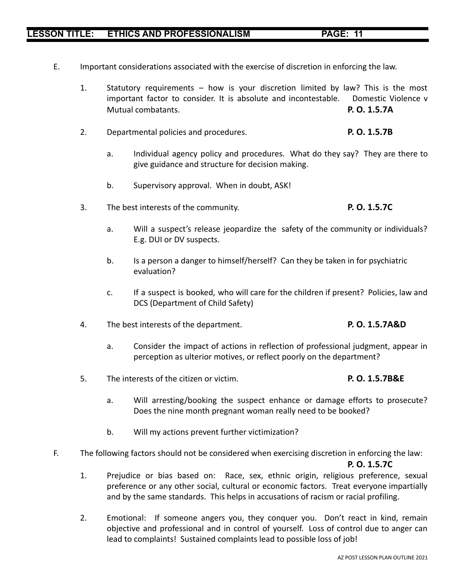- E. Important considerations associated with the exercise of discretion in enforcing the law.
	- 1. Statutory requirements how is your discretion limited by law? This is the most important factor to consider. It is absolute and incontestable. Domestic Violence v Mutual combatants. **P. O. 1.5.7A**
	- 2. Departmental policies and procedures. **P. O. 1.5.7B**
		- a. Individual agency policy and procedures. What do they say? They are there to give guidance and structure for decision making.
		- b. Supervisory approval. When in doubt, ASK!
	- 3. The best interests of the community. **P. O. 1.5.7C**
		- a. Will a suspect's release jeopardize the safety of the community or individuals? E.g. DUI or DV suspects.
		- b. Is a person a danger to himself/herself? Can they be taken in for psychiatric evaluation?
		- c. If a suspect is booked, who will care for the children if present? Policies, law and DCS (Department of Child Safety)
	- 4. The best interests of the department. **P. O. 1.5.7A&D**
		- a. Consider the impact of actions in reflection of professional judgment, appear in perception as ulterior motives, or reflect poorly on the department?
	- 5. The interests of the citizen or victim. **P. O. 1.5.7B&E**
		- a. Will arresting/booking the suspect enhance or damage efforts to prosecute? Does the nine month pregnant woman really need to be booked?
		- b. Will my actions prevent further victimization?
- F. The following factors should not be considered when exercising discretion in enforcing the law:

#### **P. O. 1.5.7C**

- 1. Prejudice or bias based on: Race, sex, ethnic origin, religious preference, sexual preference or any other social, cultural or economic factors. Treat everyone impartially and by the same standards. This helps in accusations of racism or racial profiling.
- 2. Emotional: If someone angers you, they conquer you. Don't react in kind, remain objective and professional and in control of yourself. Loss of control due to anger can lead to complaints! Sustained complaints lead to possible loss of job!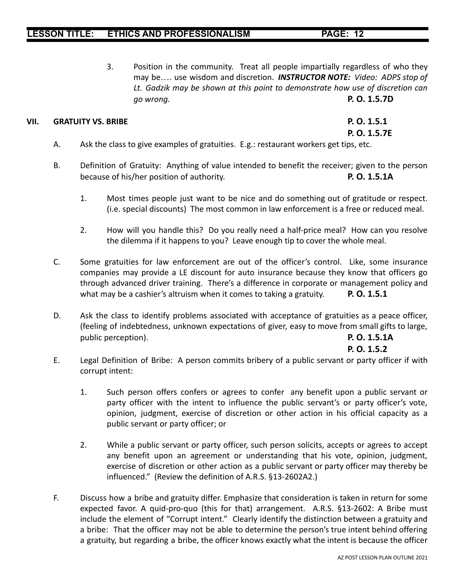3. Position in the community. Treat all people impartially regardless of who they may be…. use wisdom and discretion. *INSTRUCTOR NOTE: Video: ADPS stop of Lt. Gadzik may be shown at this point to demonstrate how use of discretion can go wrong.* **P. O. 1.5.7D**

## **VII. GRATUITY VS. BRIBE P. O. 1.5.1**

**P. O. 1.5.7E**

- A. Ask the class to give examples of gratuities. E.g.: restaurant workers get tips, etc.
- B. Definition of Gratuity: Anything of value intended to benefit the receiver; given to the person because of his/her position of authority. **P. O. 1.5.1A**
	- 1. Most times people just want to be nice and do something out of gratitude or respect. (i.e. special discounts) The most common in law enforcement is a free or reduced meal.
	- 2. How will you handle this? Do you really need a half-price meal? How can you resolve the dilemma if it happens to you? Leave enough tip to cover the whole meal.
- C. Some gratuities for law enforcement are out of the officer's control. Like, some insurance companies may provide a LE discount for auto insurance because they know that officers go through advanced driver training. There's a difference in corporate or management policy and what may be a cashier's altruism when it comes to taking a gratuity. **P. O. 1.5.1**
- D. Ask the class to identify problems associated with acceptance of gratuities as a peace officer, (feeling of indebtedness, unknown expectations of giver, easy to move from small gifts to large, public perception). **P. O. 1.5.1A**

### **P. O. 1.5.2**

- E. Legal Definition of Bribe: A person commits bribery of a public servant or party officer if with corrupt intent:
	- 1. Such person offers confers or agrees to confer any benefit upon a public servant or party officer with the intent to influence the public servant's or party officer's vote, opinion, judgment, exercise of discretion or other action in his official capacity as a public servant or party officer; or
	- 2. While a public servant or party officer, such person solicits, accepts or agrees to accept any benefit upon an agreement or understanding that his vote, opinion, judgment, exercise of discretion or other action as a public servant or party officer may thereby be influenced." (Review the definition of A.R.S. §13-2602A2.)
- F. Discuss how a bribe and gratuity differ. Emphasize that consideration is taken in return for some expected favor. A quid-pro-quo (this for that) arrangement. A.R.S. §13-2602: A Bribe must include the element of "Corrupt intent." Clearly identify the distinction between a gratuity and a bribe: That the officer may not be able to determine the person's true intent behind offering a gratuity, but regarding a bribe, the officer knows exactly what the intent is because the officer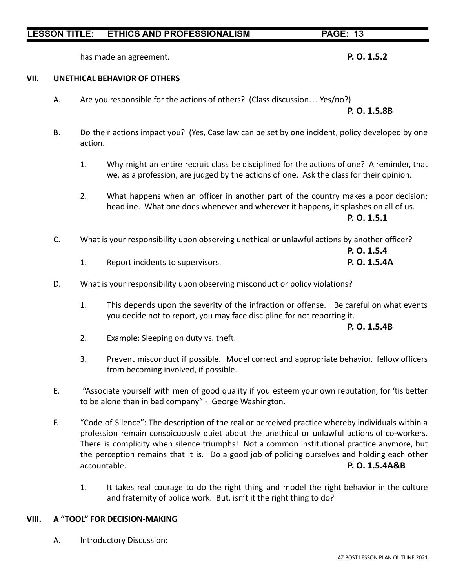has made an agreement. **P. O. 1.5.2**

#### **VII. UNETHICAL BEHAVIOR OF OTHERS**

A. Are you responsible for the actions of others? (Class discussion… Yes/no?)

### **P. O. 1.5.8B**

- B. Do their actions impact you? (Yes, Case law can be set by one incident, policy developed by one action.
	- 1. Why might an entire recruit class be disciplined for the actions of one? A reminder, that we, as a profession, are judged by the actions of one. Ask the class for their opinion.
	- 2. What happens when an officer in another part of the country makes a poor decision; headline. What one does whenever and wherever it happens, it splashes on all of us.

**P. O. 1.5.1**

C. What is your responsibility upon observing unethical or unlawful actions by another officer?

|                                  | P. O. 1.5.4  |
|----------------------------------|--------------|
| Report incidents to supervisors. | P. O. 1.5.4A |

- D. What is your responsibility upon observing misconduct or policy violations?
	- 1. This depends upon the severity of the infraction or offense. Be careful on what events you decide not to report, you may face discipline for not reporting it.

**P. O. 1.5.4B**

- 2. Example: Sleeping on duty vs. theft.
- 3. Prevent misconduct if possible. Model correct and appropriate behavior. fellow officers from becoming involved, if possible.
- E. "Associate yourself with men of good quality if you esteem your own reputation, for 'tis better to be alone than in bad company" - George Washington.
- F. "Code of Silence": The description of the real or perceived practice whereby individuals within a profession remain conspicuously quiet about the unethical or unlawful actions of co-workers. There is complicity when silence triumphs! Not a common institutional practice anymore, but the perception remains that it is. Do a good job of policing ourselves and holding each other accountable. **P. O. 1.5.4A&B**
	- 1. It takes real courage to do the right thing and model the right behavior in the culture and fraternity of police work. But, isn't it the right thing to do?

## **VIII. A "TOOL" FOR DECISION-MAKING**

A. Introductory Discussion: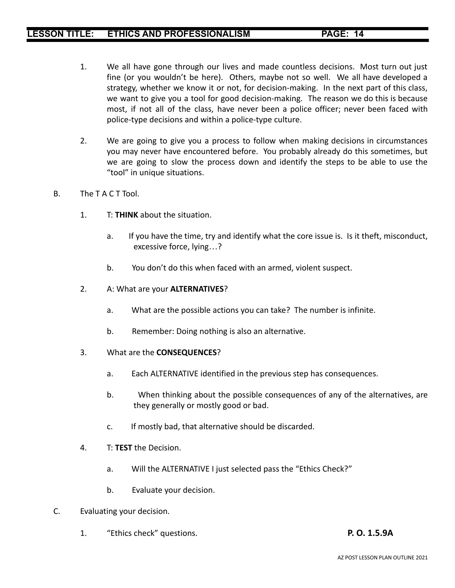- 1. We all have gone through our lives and made countless decisions. Most turn out just fine (or you wouldn't be here). Others, maybe not so well. We all have developed a strategy, whether we know it or not, for decision-making. In the next part of this class, we want to give you a tool for good decision-making. The reason we do this is because most, if not all of the class, have never been a police officer; never been faced with police-type decisions and within a police-type culture.
- 2. We are going to give you a process to follow when making decisions in circumstances you may never have encountered before. You probably already do this sometimes, but we are going to slow the process down and identify the steps to be able to use the "tool" in unique situations.
- B. The T A C T Tool.
	- 1. T: **THINK** about the situation.
		- a. If you have the time, try and identify what the core issue is. Is it theft, misconduct, excessive force, lying…?
		- b. You don't do this when faced with an armed, violent suspect.
	- 2. A: What are your **ALTERNATIVES**?
		- a. What are the possible actions you can take? The number is infinite.
		- b. Remember: Doing nothing is also an alternative.
	- 3. What are the **CONSEQUENCES**?
		- a. Each ALTERNATIVE identified in the previous step has consequences.
		- b. When thinking about the possible consequences of any of the alternatives, are they generally or mostly good or bad.
		- c. If mostly bad, that alternative should be discarded.
	- 4. T: **TEST** the Decision.
		- a. Will the ALTERNATIVE I just selected pass the "Ethics Check?"
		- b. Evaluate your decision.
- C. Evaluating your decision.
	- 1. "Ethics check" questions. **P. O. 1.5.9A**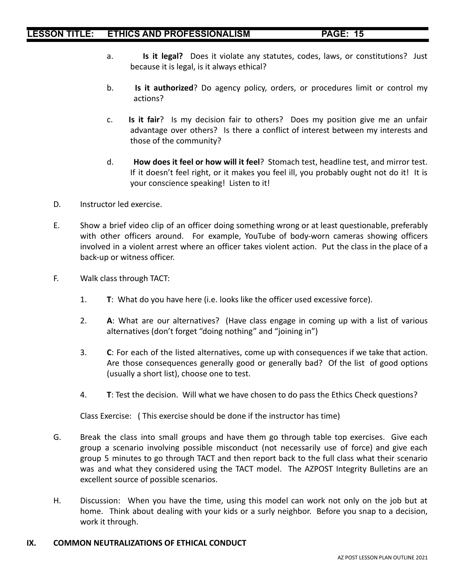- a. **Is it legal?** Does it violate any statutes, codes, laws, or constitutions? Just because it is legal, is it always ethical?
- b. **Is it authorized**? Do agency policy, orders, or procedures limit or control my actions?
- c. **Is it fair**? Is my decision fair to others? Does my position give me an unfair advantage over others? Is there a conflict of interest between my interests and those of the community?
- d. **How does it feel or how will it feel**? Stomach test, headline test, and mirror test. If it doesn't feel right, or it makes you feel ill, you probably ought not do it! It is your conscience speaking! Listen to it!
- D. Instructor led exercise.
- E. Show a brief video clip of an officer doing something wrong or at least questionable, preferably with other officers around. For example, YouTube of body-worn cameras showing officers involved in a violent arrest where an officer takes violent action. Put the class in the place of a back-up or witness officer.
- F. Walk class through TACT:
	- 1. **T**: What do you have here (i.e. looks like the officer used excessive force).
	- 2. **A**: What are our alternatives? (Have class engage in coming up with a list of various alternatives (don't forget "doing nothing" and "joining in")
	- 3. **C**: For each of the listed alternatives, come up with consequences if we take that action. Are those consequences generally good or generally bad? Of the list of good options (usually a short list), choose one to test.
	- 4. **T**: Test the decision. Will what we have chosen to do pass the Ethics Check questions?

Class Exercise: ( This exercise should be done if the instructor has time)

- G. Break the class into small groups and have them go through table top exercises. Give each group a scenario involving possible misconduct (not necessarily use of force) and give each group 5 minutes to go through TACT and then report back to the full class what their scenario was and what they considered using the TACT model. The AZPOST Integrity Bulletins are an excellent source of possible scenarios.
- H. Discussion: When you have the time, using this model can work not only on the job but at home. Think about dealing with your kids or a surly neighbor. Before you snap to a decision, work it through.

#### **IX. COMMON NEUTRALIZATIONS OF ETHICAL CONDUCT**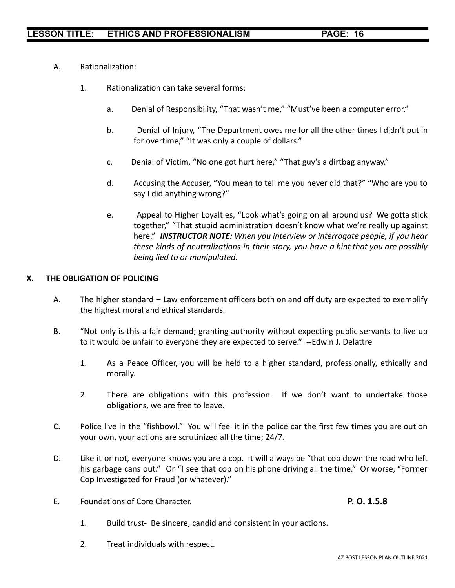- A. Rationalization:
	- 1. Rationalization can take several forms:
		- a. Denial of Responsibility, "That wasn't me," "Must've been a computer error."
		- b. Denial of Injury, "The Department owes me for all the other times I didn't put in for overtime," "It was only a couple of dollars."
		- c. Denial of Victim, "No one got hurt here," "That guy's a dirtbag anyway."
		- d. Accusing the Accuser, "You mean to tell me you never did that?" "Who are you to say I did anything wrong?"
		- e. Appeal to Higher Loyalties, "Look what's going on all around us? We gotta stick together," "That stupid administration doesn't know what we're really up against here." *INSTRUCTOR NOTE: When you interview or interrogate people, if you hear these kinds of neutralizations in their story, you have a hint that you are possibly being lied to or manipulated.*

## **X. THE OBLIGATION OF POLICING**

- A. The higher standard Law enforcement officers both on and off duty are expected to exemplify the highest moral and ethical standards.
- B. "Not only is this a fair demand; granting authority without expecting public servants to live up to it would be unfair to everyone they are expected to serve." --Edwin J. Delattre
	- 1. As a Peace Officer, you will be held to a higher standard, professionally, ethically and morally.
	- 2. There are obligations with this profession. If we don't want to undertake those obligations, we are free to leave.
- C. Police live in the "fishbowl." You will feel it in the police car the first few times you are out on your own, your actions are scrutinized all the time; 24/7.
- D. Like it or not, everyone knows you are a cop. It will always be "that cop down the road who left his garbage cans out." Or "I see that cop on his phone driving all the time." Or worse, "Former Cop Investigated for Fraud (or whatever)."
- E. Foundations of Core Character. **P. O. 1.5.8**

- 1. Build trust- Be sincere, candid and consistent in your actions.
- 2. Treat individuals with respect.